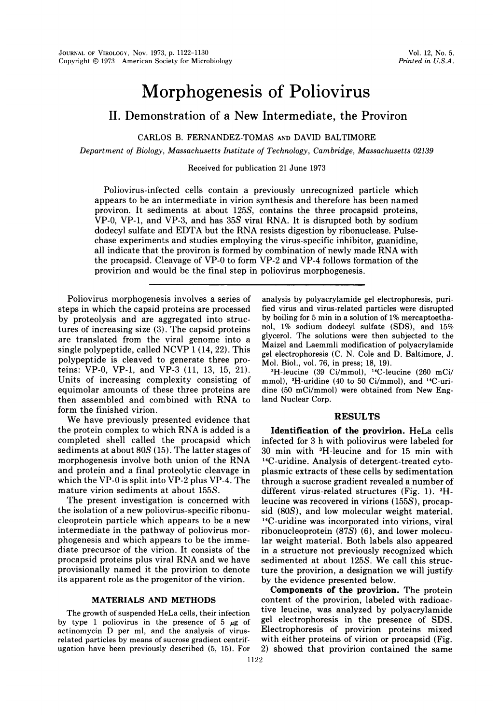# Morphogenesis of Poliovirus

## II. Demonstration of a New Intermediate, the Proviron

CARLOS B. FERNANDEZ-TOMAS AND DAVID BALTIMORE

Department of Biology, Massachusetts Institute of Technology, Cambridge, Massachusetts 02139

Received for publication 21 June 1973

Poliovirus-infected cells contain a previously unrecognized particle which appears to be an intermediate in virion synthesis and therefore has been named proviron. It sediments at about 125S, contains the three procapsid proteins, VP-0, VP-1, and VP-3, and has  $35S$  viral RNA. It is disrupted both by sodium dodecyl sulfate and EDTA but the RNA resists digestion by ribonuclease. Pulsechase experiments and studies employing the virus-specific inhibitor, guanidine, all indicate that the proviron is formed by combination of newly made RNA with the procapsid. Cleavage of VP-0 to form VP-2 and VP-4 follows formation of the provirion and would be the final step in poliovirus morphogenesis.

Poliovirus morphogenesis involves a series of steps in which the capsid proteins are processed by proteolysis and are aggregated into structures of increasing size (3). The capsid proteins are translated from the viral genome into a single polypeptide, called NCVP <sup>1</sup> (14, 22). This polypeptide is cleaved to generate three proteins: VP-0, VP-1, and VP-3 (11, 13, 15, 21). Units of increasing complexity consisting of equimolar amounts of these three proteins are then assembled and combined with RNA to form the finished virion.

We have previously presented evidence that the protein complex to which RNA is added is <sup>a</sup> completed shell called the procapsid which sediments at about 80S (15). The latter stages of morphogenesis involve both union of the RNA and protein and a final proteolytic cleavage in which the VP-0 is split into VP-2 plus VP-4. The mature virion sediments at about 155S.

The present investigation is concerned with the isolation of a new poliovirus-specific ribonucleoprotein particle which appears to be a new intermediate in the pathway of poliovirus morphogenesis and which appears to be the immediate precursor of the virion. It consists of the procapsid proteins plus viral RNA and we have provisionally named it the provirion to denote its apparent role as the progenitor of the virion.

#### MATERIALS AND METHODS

The growth of suspended HeLa cells, their infection by type 1 poliovirus in the presence of 5  $\mu$ g of actinomycin D per ml, and the analysis of virusrelated particles by means of sucrose gradient centrifugation have been previously described (5, 15). For analysis by polyacrylamide gel electrophoresis, purified virus and virus-related particles were disrupted by boiling for 5 min in a solution of 1% mercaptoethanol, 1% sodium dodecyl sulfate (SDS), and 15% glycerol. The solutions were then subjected to the Maizel and Laemmli modification of polyacrylamide gel electrophoresis (C. N. Cole and D. Baltimore, J. Mol. Biol., vol. 76, in press; 18, 19).

3H-leucine (39 Ci/mmol), 14C-leucine (260 mCi/ mmol), 3H-uridine (40 to 50 Ci/mmol), and '4C-uridine (50 mCi/mmol) were obtained from New England Nuclear Corp.

#### RESULTS

Identification of the provirion. HeLa cells infected for 3 h with poliovirus were labeled for 30 min with 3H-leucine and for 15 min with 14C-uridine. Analysis of detergent-treated cytoplasmic extracts of these cells by sedimentation through a sucrose gradient revealed a number of different virus-related structures (Fig. 1). 3Hleucine was recovered in virions (155S), procapsid (80S), and low molecular weight material. <sup>14</sup>C-uridine was incorporated into virions, viral ribonucleoprotein (87S) (6), and lower molecular weight material. Both labels also appeared in a structure not previously recognized which sedimented at about 125S. We call this structure the provirion, a designation we will justify by the evidence presented below.

Components of the provirion. The protein content of the provirion, labeled with radioactive leucine, was analyzed by polyacrylamide gel electrophoresis in the presence of SDS. Electrophoresis of provirion proteins mixed with either proteins of virion or procapsid (Fig. 2) showed that provirion contained the same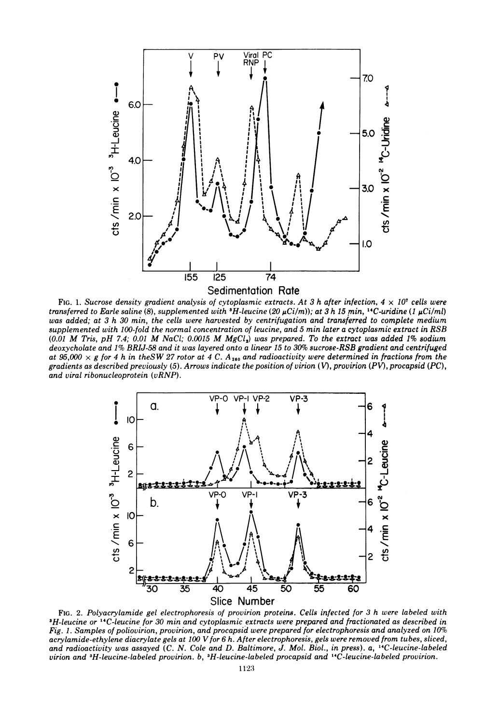

FIG. 1. Sucrose density gradient analysis of cytoplasmic extracts. At 3 h after infection,  $4 \times 10^7$  cells were transferred to Earle saline (8), supplemented with  ${}^3H$ -leucine (20  $\mu$ Ci/m)); at 3 h 15 min,  ${}^{14}C$ -uridine (1  $\mu$ Ci/ml) was added; at 3 h 30 min, the cells were harvested by centrifugation and transferred to complete medium supplemented with 100-fold the normal concentration of leucine, and 5 min later a cytoplasmic extract in RSB  $(0.01$  M Tris, pH 7.4; 0.01 M NaCl; 0.0015 M MgCl<sub>2</sub>) was prepared. To the extract was added 1% sodium deoxycholate and 1% BRIJ-58 and it was layered onto a linear 15 to 30% sucrose-RSB gradient and centrifuged at 95,000  $\times$  g for 4 h in theSW 27 rotor at 4 C. A<sub>260</sub> and radioactivity were determined in fractions from the gradients as described previously (5). Arrows indicate the position of virion (V), provirion (PV), procapsid (PC), and viral ribonucleoprotein (vRNP).



FIG. 2. Polyacrylamide gel electrophoresis of provirion proteins. Cells infected for 3 h were labeled with 3H-leucine or 14C-leucine for 30 min and cytoplasmic extracts were prepared and fractionated as described in Fig. 1. Samples of poliovirion, provirion, and procapsid were prepared for electrophoresis and analyzed on 10% acrylamide-ethylene diacrylate gels at 100 V for 6 h. After electrophoresis, gels were removed from tubes, sliced, and radioactivity was assayed (C. N. Cole and D. Baltimore, J. Mol. Biol., in press). a, '4C-leucine-labeled virion and 3H-leucine-labeled provirion. b, 3H-leucine-labeled procapsid and 'C-leucine-labeled provirion.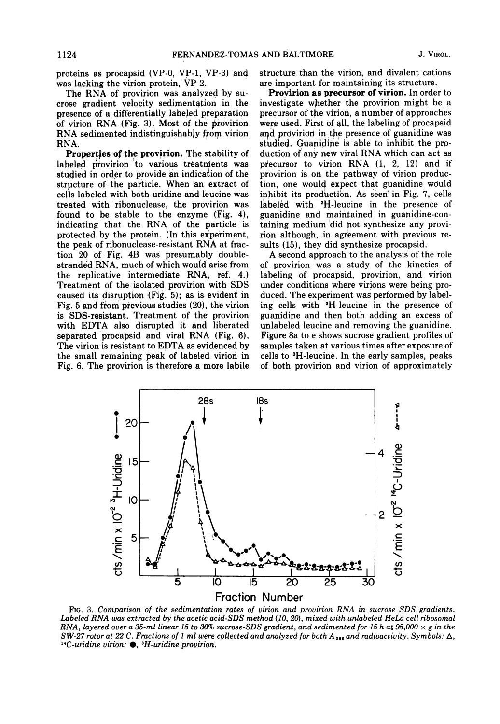proteins as procapsid (VP-0, VP-1, VP-3) and was lacking the virion protein, VP-2.

The RNA of provirion was analyzed by sucrose gradient velocity sedimentation in the presence of a differentially labeled preparation of virion RNA (Fig. 3), Most of the provirion RNA sedimented indistinguishably from virion RNA.

**Properties of the provirion.** The stability of labeled provirion to various treatments was studied in order to provide an indication of the structure of the particle. When an extract of cells labeled with both uridine and leucine was treated with ribonuclease, the provirion was found to be stable to the enzyme (Fig. 4), indicating that the RNA of the particle is protected by the protein. (In this experiment, the peak of ribonuclease-resistant RNA at fraction 20 of Fig. 4B was presumably doublestranded RNA, much of which would arise from the replicative intermediate RNA, ref. 4.) Treatment of the isolated provirion with SDS caused its disruption (Fig. 5); as is evident in Fig. 5 and from previous studies (20), the virion is SDS-resistant. Treatment of the provirion with EDTA also disrupted it and liberated separated procapsid and viral RNA (Fig. 6). The virion is resistant to EDTA as evidenced by the small remaining peak of labeled virion in Fig. 6. The provirion is therefore a more labile structure than the virion, and divalent cations are important for maintaining its structure.

Provirion as precursor of virion. In order to investigate whether the provirion might be a precursor of the virion, a number of approaches were used. First of all, the labeling of procapsid and provirion in the presence of guanidine was studied. Guanidine is able to inhibit the production of any new viral RNA which can act as precursor to virion RNA (1, 2, 12) and if provirion is on the pathway of virion production, one would expect that guanidine would inhibit its production. As seen in Fig. 7, cells labeled with <sup>3</sup>H-leucine in the presence of guanidine and maintained in guanidine-containing medium did not synthesize any provirion although, in agreement with previous results (15), they did synthesize procapsid.

A second approach to the analysis of the role of provirion was a study of the kinetics of labeling of procapsid, provirion, and virion under conditions where virions were being produced. The experiment was performed by labeling cells with 3H-leucine in the presence of guanidine and then both adding an excess of unlabeled leucine and removing the guanidine. Figure 8a to e shows sucrose gradient profiles of samples taken at various times after exposure of cells to 3H-leucine. In the early samples, peaks of both provirion and virion of approximately



FIG. 3. Comparison of the sedimentation rates of virion and provirion RNA in sucrose SDS gradients. Labeled RNA was extracted by the acetic acid-SDS method (10, 20), mixed with unlabeled HeLa cell ribosomal RNA, layered over a 35-ml linear 15 to 30% sucrose-SDS gradient, and sedimented for 15 h at 95,000  $\times$  g in the SW-27 rotor at 22 C. Fractions of 1 ml were collected and analyzed for both  $A_{260}$  and radioactivity. Symbols:  $\Delta$ ,  $14C$ -uridine virion;  $\bullet$ ,  $3H$ -uridine provirion.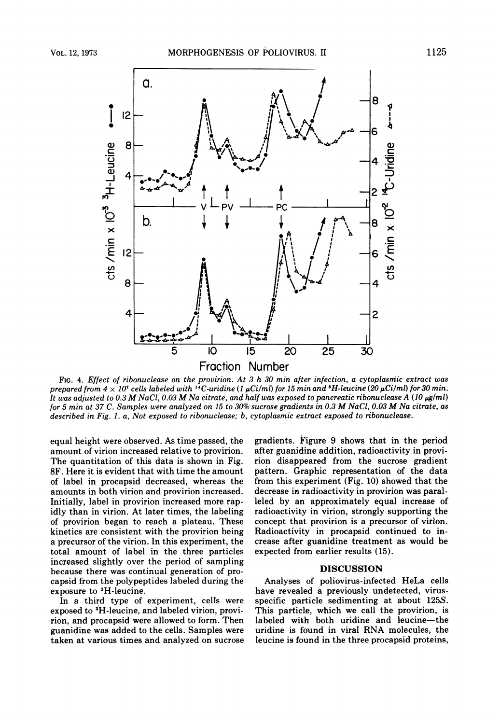

FIG. 4. Effect of ribonuclease on the provirion. At 3 h 30 min after infection, a cytoplasmic extract was prepared from  $4 \times 10^7$  cells labeled with <sup>14</sup>C-uridine (1  $\mu$ Ci/ml) for 15 min and <sup>3</sup>H-leucine (20  $\mu$ Ci/ml) for 30 min. It was adjusted to 0.3 M NaCl, 0.03 M Na citrate, and half was exposed to pancreatic ribonuclease A (10  $\mu$ g/ml) for 5 min at 37 C. Samples were analyzed on 15 to 30% sucrose gradients in 0.3 M NaCl, 0.03 M Na citrate, as described in Fig. 1. a, Not exposed to ribonuclease; b, cytoplasmic extract exposed to ribonuclease.

equal height were observed. As time passed, the amount of virion increased relative to provirion. The quantitation of this data is shown in Fig. 8F. Here it is evident that with time the amount of label in procapsid decreased, whereas the amounts in both virion and provirion increased. Initially, label in provirion increased more rapidly than in virion. At later times, the labeling of provirion began to reach a plateau. These kinetics are consistent with the provirion being a precursor of the virion. In this experiment, the total amount of label in the three particles increased slightly over the period of sampling because there was continual generation of procapsid from the polypeptides labeled during the exposure to 3H-leucine.

In a third type of experiment, cells were exposed to <sup>3</sup>H-leucine, and labeled virion, provirion, and procapsid were allowed to form. Then guanidine was added to the cells. Samples were taken at various times and analyzed on sucrose

gradients. Figure 9 shows that in the period after guanidine addition, radioactivity in provirion disappeared from the sucrose gradient pattern. Graphic representation of the data from this experiment (Fig. 10) showed that the decrease in radioactivity in provirion was paralleled by an approximately equal increase of radioactivity in virion, strongly supporting the concept that provirion is a precursor of virion. Radioactivity in procapsid continued to increase after guanidine treatment as would be expected from earlier results (15).

### **DISCUSSION**

Analyses of poliovirus-infected HeLa cells have revealed a previously undetected, virusspecific particle sedimenting at about 125S. This particle, which we call the provirion, is labeled with both uridine and leucine-the uridine is found in viral RNA molecules, the leucine is found in the three procapsid proteins,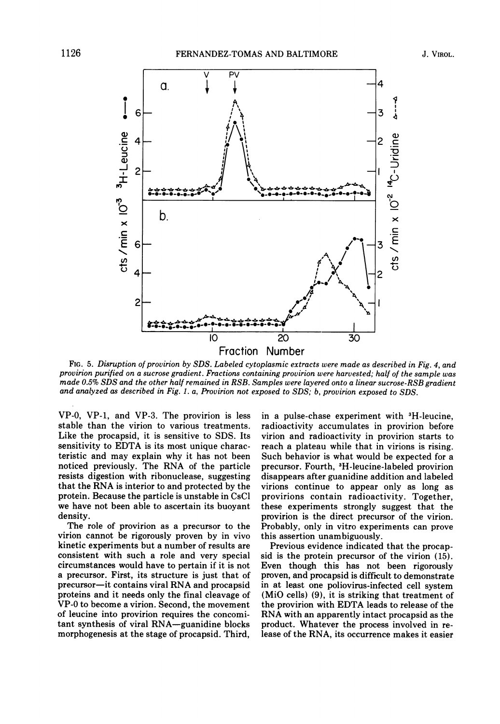

FIG. 5. Disruption of provirion by SDS. Labeled cytoplasmic extracts were made as described in Fig. 4, and provirion purified on a sucrose gradient. Fractions containing provirion were harvested; half of the sample was made 0.5% SDS and the other half remained in RSB. Samples were layered onto <sup>a</sup> linear sucrose-RSB gradient and analyzed as described in Fig. 1. a, Provirion not exposed to SDS; b, provirion exposed to SDS.

VP-0, VP-1, and VP-3. The provirion is less stable than the virion to various treatments. Like the procapsid, it is sensitive to SDS. Its sensitivity to EDTA is its most unique characteristic and may explain why it has not been noticed previously. The RNA of the particle resists digestion with ribonuclease, suggesting that the RNA is interior to and protected by the protein. Because the particle is unstable in CsCl we have not been able to ascertain its buoyant density.

The role of provirion as a precursor to the virion cannot be rigorously proven by in vivo kinetic experiments but a number of results are consistent with such a role and very special circumstances would have to pertain if it is not a precursor. First, its structure is just that of precursor-it contains viral RNA and procapsid proteins and it needs only the final cleavage of VP-0 to become a virion. Second, the movement of leucine into provirion requires the concomitant synthesis of viral RNA-guanidine blocks morphogenesis at the stage of procapsid. Third,

in a pulse-chase experiment with 3H-leucine, radioactivity accumulates in provirion before virion and radioactivity in provirion starts to reach a plateau while that in virions is rising. Such behavior is what would be expected for a precursor. Fourth, 3H-leucine-labeled provirion disappears after guanidine addition and labeled virions continue to appear only as long as provirions contain radioactivity. Together, these experiments strongly suggest that the provirion is the direct precursor of the virion. Probably, only in vitro experiments can prove this assertion unambiguously.

Previous evidence indicated that the procapsid is the protein precursor of the virion (15). Even though this has not been rigorously proven, and procapsid is difficult to demonstrate in at least one poliovirus-infected cell system (MiO cells) (9), it is striking that treatment of the provirion with EDTA leads to release of the RNA with an apparently intact procapsid as the product. Whatever the process involved in release of the RNA, its occurrence makes it easier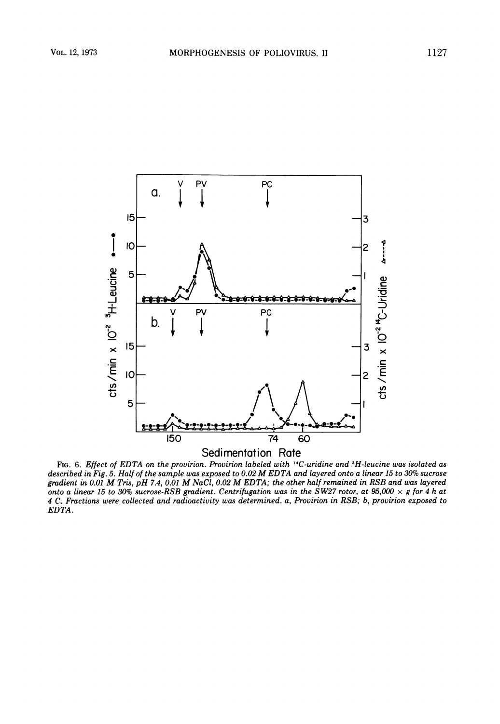

FIG. 6. Effect of EDTA on the provirion. Provirion labeled with 14C-uridine and 3H-leucine was isolated as described in Fig. 5. Half of the sample was exposed to 0.02 M EDTA and layered onto <sup>a</sup> linear <sup>15</sup> to 30% sucrose gradient in 0.01 M Tris, pH 7.4, 0.01 M NaCl, 0.02 M EDTA; the other half remained in RSB and was layered onto a linear 15 to 30% sucrose-RSB gradient. Centrifugation was in the SW27 rotor, at 95,000  $\times$  g for 4 h at 4 C. Fractions were collected and radioactivity was determined. a, Provirion in RSB; b, provirion exposed to EDTA.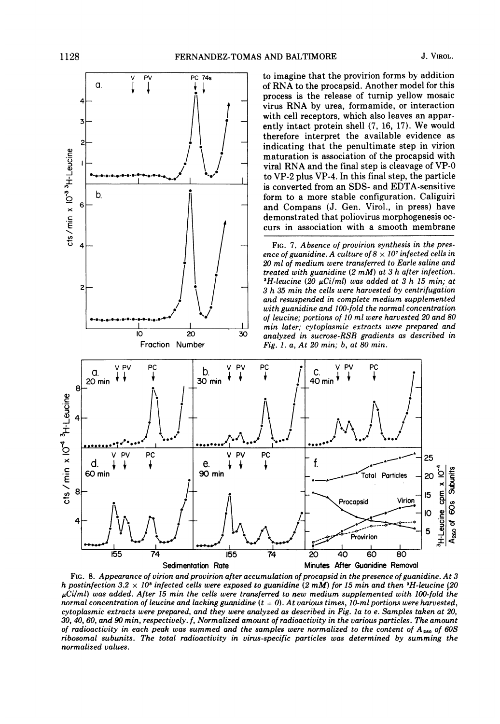

to imagine that the provirion forms by addition of RNA to the procapsid. Another model for this process is the release of turnip yellow mosaic virus RNA by urea, formamide, or interaction with cell receptors, which also leaves an apparently intact protein shell (7, 16, 17). We would therefore interpret the available evidence as indicating that the penultimate step in virion maturation is association of the procapsid with viral RNA and the final step is cleavage of VP-O to VP-2 plus VP-4. In this final step, the particle is converted from an SDS- and EDTA-sensitive form to a more stable configuration. Caliguiri and Compans (J. Gen. Virol., in press) have demonstrated that poliovirus morphogenesis occurs in association with a smooth membrane

FIG. 7. Absence of provirion synthesis in the presence of guanidine. A culture of  $8 \times 10^7$  infected cells in 20 ml of medium were transferred to Earle saline and treated with guanidine (2 mM) at <sup>3</sup> h after infection.  ${}^3H$ -leucine (20  $\mu$ Ci/ml) was added at 3 h 15 min; at 3 h 35 min the cells were harvested by centrifugation and resuspended in complete medium supplemented with guanidine and 100-fold the normal concentration of leucine; portions of 10 ml were harvested 20 and 80 min later; cytoplasmic extracts were prepared and analyzed in sucrose-RSB gradients as described in Fig. 1. a, At 20 min; b, at 80 min.



FIG. 8. Appearance of virion and provirion after accumulation of procapsid in the presence of guanidine. At 3 h postinfection 3.2  $\times$  10<sup>8</sup> infected cells were exposed to guanidine (2 mM) for 15 min and then <sup>3</sup>H-leucine (20  $\mu$ Ci/ml) was added. After 15 min the cells were transferred to new medium supplemented with 100-fold the normal concentration of leucine and lacking guanidine  $(t = 0)$ . At various times, 10-ml portions were harvested, cytoplasmic extracts were prepared, and they were analyzed as described in Fig. la to e. Samples taken at 20, 30, 40, 60, and 90 min, respectively. f, Normalized amount of radioactivity in the various particles. The amount of radioactivity in each peak was summed and the samples were normalized to the content of  $A_{280}$  of 60S ribosomal subunits. The total radioactivity in virus-specific particles was determined by summing the normalized values.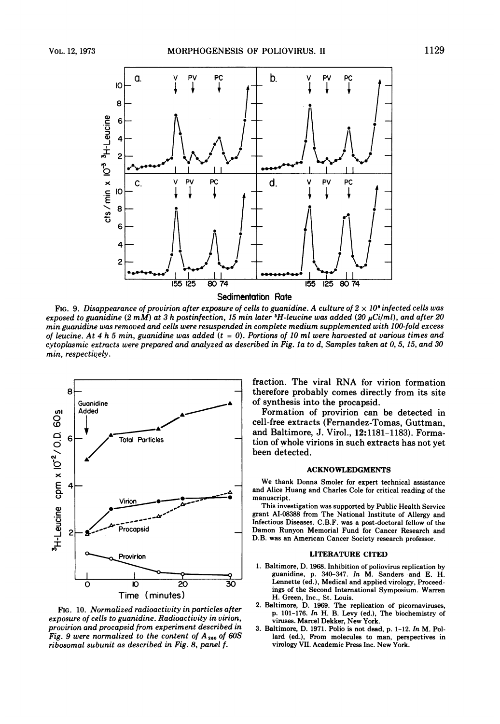

Sedimentation Rate

FIG. 9. Disappearance of provirion after exposure of cells to guanidine. A culture of  $2 \times 10^8$  infected cells was exposed to guanidine  $(2 m\dot{M})$  at 3 h postinfection, 15 min later <sup>3</sup>H-leucine was added  $(20 \mu \text{Ci}/m\text{l})$ , and after 20 min guanidine was removed and cells were resuspended in complete medium supplemented with 100-fold excess of leucine. At 4 h 5 min, guanidine was added  $(t = 0)$ . Portions of 10 ml were harvested at various times and cytoplasmic extracts were prepared and analyzed as described in Fig. la to d, Samples taken at 0, 5, 15, and 30 min, respectively.



FIG. 10. Normalized radioactivity in particles after exposure of cells to guanidine. Radioactivity in virion, provirion and procapsid from experiment described in Fig. 9 were normalized to the content of  $A_{260}$  of 60S ribosomal subunit as described in Fig. 8, panel f.

fraction. The viral RNA for virion formation therefore probably comes directly from its site of synthesis into the procapsid.

Formation of provirion can be detected in cell-free extracts (Fernandez-Tomas, Guttman, and Baltimore, J. Virol., 12:1181-1183). Formation of whole virions in such extracts has not yet been detected.

#### ACKNOWLEDGMENTS

We thank Donna Smoler for expert technical assistance and Alice Huang and Charles Cole for critical reading of the manuscript.

This investigation was supported by Public Health Service grant AI-08388 from The National Institute of Allergy and Infectious Diseases. C.B.F. was a post-doctoral fellow of the Damon Runyon Memorial Fund for Cancer Research and D.B. was an American Cancer Society research professor.

#### LITERATURE CITED

- 1. Baltimore, D. 1968. Inhibition of poliovirus replication by guanidine, p. 340-347. In M. Sanders and E. H. Lennette (ed.), Medical and applied virology, Proceedings of the Second International Symposium. Warren H. Green, Inc., St. Louis.
- 2. Baltimore, D. 1969. The replication of picornaviruses, p. 101-176. In H. B. Levy (ed.), The biochemistry of viruses. Marcel Dekker, New York.
- 3. Baltimore, D. 1971. Polio is not dead, p. 1-12. In M. Pollard (ed.), From molecules to man, perspectives in virology VII. Academic Press Inc. New York.